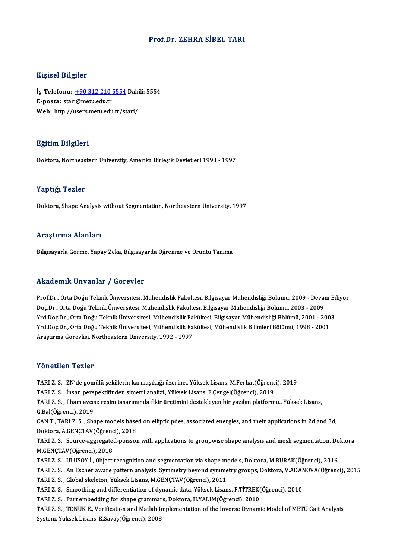### Prof.Dr. ZEHRA SİBEL TARI

### Kişisel Bilgiler

Kişisel Bilgiler<br>İş Telefonu: <u>+90 312 210 5554</u> Dahili: 5554<br>E nosta: stari@metu.edu.tr 11191001 Dirgitor<br>İş Telefonu: <u>+90 312 210 !</u><br>E-posta: star[i@metu.edu.tr](tel:+90 312 210 5554) İş Telefonu: <u>+90 312 210 5554</u> Dahi<br>E-posta: stari@metu.edu.tr<br>Web: http://users.metu.edu.tr/stari/ Web: http://users.metu.edu.tr/stari/ $E$ ğitim Bilgileri

Doktora, Northeastern University, Amerika Birlesik Devletleri 1993 - 1997

### Yaptığı Tezler

Doktora, Shape Analysis without Segmentation, Northeastern University, 1997

### Araştırma Alanları

Bilgisayarla Görme, Yapay Zeka, Bilgisayarda Öğrenme ve Örüntü Tanıma

### Akademik Unvanlar / Görevler

Akademik Unvanlar / Görevler<br>Prof.Dr., Orta Doğu Teknik Üniversitesi, Mühendislik Fakültesi, Bilgisayar Mühendisliği Bölümü, 2009 - Devam Ediyor<br>Des Dr., Orta Doğu Teknik Üniversitesi, Mühendislik Fakültesi, Bilgisayar Müh rrittat oririk Sirvanian "/" dör svisi"<br>Prof.Dr., Orta Doğu Teknik Üniversitesi, Mühendislik Fakültesi, Bilgisayar Mühendisliği Bölümü, 2009 - Devai<br>Vrd Doc.Dr., Orta Doğu Teknik Üniversitesi, Mühendislik Fakültesi, Bilgis Prof.Dr., Orta Doğu Teknik Üniversitesi, Mühendislik Fakültesi, Bilgisayar Mühendisliği Bölümü, 2009 - Devam Ec<br>Doç.Dr., Orta Doğu Teknik Üniversitesi, Mühendislik Fakültesi, Bilgisayar Mühendisliği Bölümü, 2003 - 2009<br>Yrd Doç.Dr., Orta Doğu Teknik Üniversitesi, Mühendislik Fakültesi, Bilgisayar Mühendisliği Bölümü, 2003 - 2009<br>Yrd.Doç.Dr., Orta Doğu Teknik Üniversitesi, Mühendislik Fakültesi, Bilgisayar Mühendisliği Bölümü, 2001 - 2003<br>Yrd. Araştırma Görevlisi, Northeastern University, 1992 - 1997

#### Yönetilen Tezler

Y<mark>önetilen Tezler</mark><br>TARI Z. S. , ZN'de gömülü şekillerin karmaşıklığı üzerine., Yüksek Lisans, M.Ferhat(Öğrenci), 2019<br>TARLZ S., İnsan naranektiğinden simetri analizi, Yüksek Lisans, E.Cangel(Öğrenci), 2019 TARI Z. S. , ZN'de gömülü şekillerin karmaşıklığı üzerine., Yüksek Lisans, M.Ferhat(Öğrenc<br>TARI Z. S. , İnsan perspektifinden simetri analizi., Yüksek Lisans, F.Çengel(Öğrenci), 2019<br>TARI Z. S. , İlbam avçıcu reçim taçarım TARI Z. S. , İlham avcısı: resim tasarımında fikir üretimini destekleyen bir yazılım platformu., Yüksek Lisans,<br>G.Bal(Öğrenci). 2019 TARI Z. S., İnsan perspektifinden simetri analizi., Yüksek Lisans, F.Çengel(Öğrenci), 2019 CAN T., TARI Z. S., Shape models based on elliptic pdes, associated energies, and their applications in 2d and 3d, G.Bal(Öğrenci), 2019<br>CAN T., TARI Z. S. , Shape models base<br>Doktora, A.GENÇTAV(Öğrenci), 2018<br>TARLZ S. Source aggregated peisser TARI Z.S., Source-aggregated-poisson with applications to groupwise shape analysis and mesh segmentation, Doktora,<br>M.GENCTAV(Öğrenci), 2018 Doktora, A.GENÇTAV(Öğrenc<br>TARI Z. S. , Source-aggregate<br>M.GENÇTAV(Öğrenci), 2018<br>TARI Z. S. , H. HSOV İ. Object TARI Z. S. , Source-aggregated-poisson with applications to groupwise shape analysis and mesh segmentation, Do<br>M.GENÇTAV(Öğrenci), 2018<br>TARI Z. S. , ULUSOY İ., Object recognition and segmentation via shape models, Doktora, M.GENÇTAV(Öğrenci), 2018<br>TARI Z. S. , ULUSOY İ., Object recognition and segmentation via shape models, Doktora, M.BURAK(Öğrenci), 2016<br>TARI Z. S. , An Escher aware pattern analysis: Symmetry beyond symmetry groups, Doktora TARI Z. S. , ULUSOY İ., Object recognition and segmentation via shape metal S. S. , An Escher aware pattern analysis: Symmetry beyond symme<br>TARI Z. S. , Global skeleton, Yüksek Lisans, M.GENÇTAV(Öğrenci), 2011<br>TARI Z. S. , TARI Z. S. , An Escher aware pattern analysis: Symmetry beyond symmetry groups, Doktora, V.ADAN<br>TARI Z. S. , Global skeleton, Yüksek Lisans, M.GENÇTAV(Öğrenci), 2011<br>TARI Z. S. , Smoothing and differentiation of dynamic da TARI Z. S. , Global skeleton, Yüksek Lisans, M.GENÇTAV(Öğrenci), 2011<br>TARI Z. S. , Smoothing and differentiation of dynamic data, Yüksek Lisans, F.TİTREK(Öğrenci), 2010<br>TARI Z. S. , Part embedding for shape grammars, Dokto TARI Z. S., TÖNÜK E., Verification and Matlab Implementation of the Inverse Dynamic Model of METU Gait Analysis System, Yüksek Lisans, K.Savaş(Öğrenci), 2008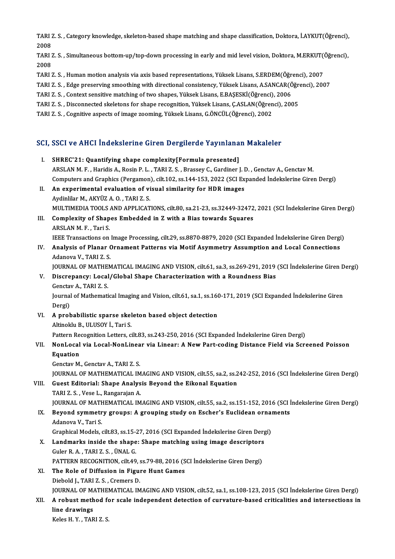TARI Z. S. , Category knowledge, skeleton-based shape matching and shape classification, Doktora, İ.AYKUT(Öğrenci),<br>2008 TARI 2<br>2008<br>TARI 1 TARI Z. S. , Category knowledge, skeleton-based shape matching and shape classification, Doktora, İ.AYKUT(Öğrenci),<br>2008<br>TARI Z. S. , Simultaneous bottom-up/top-down processing in early and mid level vision, Doktora, M.ERK

2008<br>TARI Z. S. , Simultaneous bottom-up/top-down processing in early and mid level vision, Doktora, M.ERKUT(Öğrenci),<br>2008 TARI Z. S. , Simultaneous bottom-up/top-down processing in early and mid level vision, Doktora, M.ERKUT()<br>2008<br>TARI Z. S. , Human motion analysis via axis based representations, Yüksek Lisans, S.ERDEM(Öğrenci), 2007<br>TARI Z 2008<br>TARI Z. S. , Human motion analysis via axis based representations, Yüksek Lisans, S.ERDEM(Öğrenci), 2007<br>TARI Z. S. , Edge preserving smoothing with directional consistency, Yüksek Lisans, A.SANCAR(Öğrenci), 2007<br>TARI

- 
- TARI Z. S. , Human motion analysis via axis based representations, Yüksek Lisans, S.ERDEM(Öğr<br>TARI Z. S. , Edge preserving smoothing with directional consistency, Yüksek Lisans, A.SANCAR(Ö<br>TARI Z. S. , Context sensitive ma
- 
- TARI Z. S. , Edge preserving smoothing with directional consistency, Yüksek Lisans, A.SANCAR(Öğrm)<br>TARI Z. S. , Context sensitive matching of two shapes, Yüksek Lisans, E.BAŞESKİ(Öğrenci), 2006<br>TARI Z. S. , Disconnected sk TARI Z. S. , Context sensitive matching of two shapes, Yüksek Lisans, E.BAŞESKİ(Öğrenci), 2006<br>TARI Z. S. , Disconnected skeletons for shape recognition, Yüksek Lisans, Ç.ASLAN(Öğrenci), 2005<br>TARI Z. S. , Cognitive aspects
- 

# 1AKI 2. S., Cogniuve aspects of image 200ming, ruksek Lisans, G.ONCOL(Ogrenci), 2002<br>SCI, SSCI ve AHCI İndekslerine Giren Dergilerde Yayınlanan Makaleler

CI, SSCI ve AHCI İndekslerine Giren Dergilerde Yayınlana<br>I. SHREC'21: Quantifying shape complexity[Formula presented] I. SHREC'21: Quantifying shape complexity[Formula presented]<br>ARSLAN M. F. , Haridis A., Rosin P. L. , TARI Z. S. , Brassey C., Gardiner J. D. , Genctav A., Genctav M. Computers and Graphics (Pergamon), cilt.102, ss.144-153, 2022 (SCI Expanded İndekslerine Giren Dergi) ARSLAN M. F., Haridis A., Rosin P. L., TARI Z. S., Brassey C., Gardiner J. I<br>Computers and Graphics (Pergamon), cilt.102, ss.144-153, 2022 (SCI Ex<br>II. An experimental evaluation of visual similarity for HDR images Computers and Graphics (Pergamon<br>An experimental evaluation of vi<br>Aydinlilar M., AKYÜZ A. O. , TARI Z. S.<br>MIJI TIMEDIA TOOLS AND APRLICAT An experimental evaluation of visual similarity for HDR images<br>Aydinlilar M., AKYÜZ A. O. , TARI Z. S.<br>MULTIMEDIA TOOLS AND APPLICATIONS, cilt.80, sa.21-23, ss.32449-32472, 2021 (SCI İndekslerine Giren Dergi)<br>Complexity of Aydinlilar M., AKYÜZ A. O. , TARI Z. S.<br>MULTIMEDIA TOOLS AND APPLICATIONS, cilt.80, sa.21-23, ss.32449-32472<br>III. Complexity of Shapes Embedded in Z with a Bias towards Squares<br>ARSLAN M. F. , Tari S. MULTIMEDIA TOOLS<br>**Complexity of Shap**<br>ARSLAN M. F. , Tari S.<br><sup>IEEE</sup> Transactions on IEEE Transactions on Image Processing, cilt.29, ss.8870-8879, 2020 (SCI Expanded İndekslerine Giren Dergi) ARSLAN M. F. , Tari S.<br>IEEE Transactions on Image Processing, cilt.29, ss.8870-8879, 2020 (SCI Expanded Indekslerine Giren Dergi<br>IV. Analysis of Planar Ornament Patterns via Motif Asymmetry Assumption and Local Connect **IEEE Transactions on<br>Analysis of Planar C<br>Adanova V., TARI Z. S.<br>JOUPNAL OF MATUEM** Adanova V., TARI Z. S.<br>JOURNAL OF MATHEMATICAL IMAGING AND VISION, cilt.61, sa.3, ss.269-291, 2019 (SCI İndekslerine Giren Dergi) Adanova V., TARI Z. S.<br>JOURNAL OF MATHEMATICAL IMAGING AND VISION, cilt.61, sa.3, ss.269-291, 2019<br>V. Discrepancy: Local/Global Shape Characterization with a Roundness Bias<br>Constay A. TABLZ S. JOURNAL OF MATHE<br>Discrepancy: Local<br>Genctav A., TARI Z. S.<br>Journal of Mathomati Journal of Mathematical Imaging and Vision, cilt.61, sa.1, ss.160-171, 2019 (SCI Expanded İndekslerine Giren<br>Dergi) Genctav A, TARI Z S Journal of Mathematical Imaging and Vision, cilt.61, sa.1, ss.16<br>Dergi)<br>VI. A probabilistic sparse skeleton based object detection Dergi)<br>A probabilistic sparse skel<br>Altinoklu B., ULUSOY İ., Tari S.<br>Pettern Pessenition Letters si Altinoklu B., ULUSOY İ., Tari S.<br>Pattern Recognition Letters, cilt.83, ss.243-250, 2016 (SCI Expanded İndekslerine Giren Dergi) Altinoklu B., ULUSOY İ., Tari S.<br>Pattern Recognition Letters, cilt.83, ss.243-250, 2016 (SCI Expanded İndekslerine Giren Dergi)<br>VII. NonLocal via Local-NonLinear via Linear: A New Part-coding Distance Field via Screene Pattern Re<br>NonLocal<br>Equation<br>Constau M NonLocal via Local-NonLinea<br>Equation<br>Genctav M., Genctav A., TARI Z. S.<br>JOUPMAL OF MATHEMATICAL IV Equation<br>Genctav M., Genctav A., TARI Z. S.<br>JOURNAL OF MATHEMATICAL IMAGING AND VISION, cilt.55, sa.2, ss.242-252, 2016 (SCI İndekslerine Giren Dergi)<br>Cuest Editerialı Shane Analysis Boyand the Eikenal Equation Genctav M., Genctav A., TARI Z. S.<br>JOURNAL OF MATHEMATICAL IMAGING AND VISION, cilt.55, sa.2, ss.2<br>VIII. Guest Editorial: Shape Analysis Beyond the Eikonal Equation<br>TARI Z. S. , Vese L., Rangarajan A. **JOURNAL OF MATHEMATICAL IM<br>Guest Editorial: Shape Analys<br>TARI Z. S. , Vese L., Rangarajan A.<br>JOUPNAL OF MATHEMATICAL IM** Guest Editorial: Shape Analysis Beyond the Eikonal Equation<br>TARI Z. S. , Vese L., Rangarajan A.<br>JOURNAL OF MATHEMATICAL IMAGING AND VISION, cilt.55, sa.2, ss.151-152, 2016 (SCI İndekslerine Giren Dergi)<br>Beyond summetru gro TARI Z. S. , Vese L., Rangarajan A.<br>JOURNAL OF MATHEMATICAL IMAGING AND VISION, cilt.55, sa.2, ss.151-152, 2016 (SCI İ<br>IX. Beyond symmetry groups: A grouping study on Escher's Euclidean ornaments **JOURNAL OF MATH**<br>Beyond symmetr<br>Adanova V., Tari S.<br>Craphical Models IX. Beyond symmetry groups: A grouping study on Escher's Euclidean ornaments<br>Adanova V., Tari S. X. Landmarks inside the shape: Shape matching using image descriptors Guler R. A., TARI Z. S., ÜNAL G. Graphical Models, cilt.83, ss.15-27, 2016 (SCI Expanded İndekslerine Giren Dergi) Landmarks inside the shape: Shape matching using image descriptors<br>Guler R. A. , TARI Z. S. , ÜNAL G.<br>PATTERN RECOGNITION, cilt.49, ss.79-88, 2016 (SCI İndekslerine Giren Dergi)<br>The Bole of Diffusion in Figure Hunt Comes. XI. The Role of Diffusion in Figure Hunt Games<br>Diebold J., TARI Z. S., Cremers D. PATTERN RECOGNITION, cilt.49, s.<br>The Role of Diffusion in Figure<br>Diebold J., TARI Z. S. , Cremers D.<br>JOUPMAL OF MATHEMATICAL IN The Role of Diffusion in Figure Hunt Games<br>Diebold J., TARI Z. S. , Cremers D.<br>JOURNAL OF MATHEMATICAL IMAGING AND VISION, cilt.52, sa.1, ss.108-123, 2015 (SCI İndekslerine Giren Dergi)<br>A rebust methed for seale independen Diebold J., TARI Z. S. , Cremers D.<br>JOURNAL OF MATHEMATICAL IMAGING AND VISION, cilt.52, sa.1, ss.108-123, 2015 (SCI İndekslerine Giren Dergi)<br>XII. A robust method for scale independent detection of curvature-based cri **JOURNAL OF MAN**<br>**A robust meth<br>line drawings** A robust method fo<br>line drawings<br>Keles H. Y. , TARI Z. S.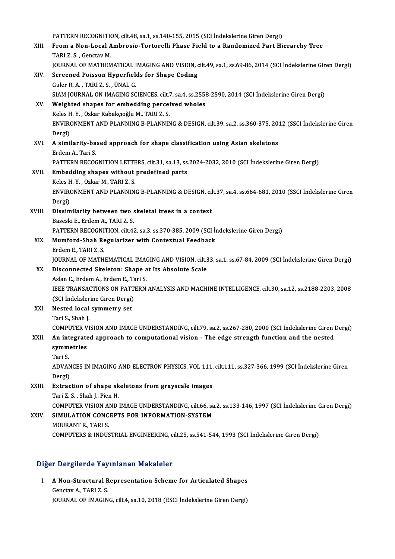PATTERN RECOGNITION, cilt.48, sa.1, ss.140-155, 2015 (SCI İndekslerine Giren Dergi)<br>Fram a Nan Lasal Ambrosia Tartaralli Phasa Fiald ta a Pandamirad Part Hi XIII. From a Non-Local Ambrosio-Tortorelli Phase Field to a Randomized Part Hierarchy Tree<br>TARI Z.S., Genctav M. PATTERN RECOGNITION<br>From a Non-Local A<br>TARI Z. S. , Genctav M.<br>JOUPNAL OF MATHEM JOURNAL OF MATHEMATICAL IMAGING AND VISION, cilt.49, sa.1, ss.69-86, 2014 (SCI İndekslerine Giren Dergi) XIV. Screened Poisson Hyperfields for Shape Coding GulerR.A. ,TARIZ.S. ,ÜNALG. Screened Poisson Hyperfields for Shape Coding<br>Guler R. A. , TARI Z. S. , ÜNAL G.<br>SIAM JOURNAL ON IMAGING SCIENCES, cilt.7, sa.4, ss.2558-2590, 2014 (SCI İndekslerine Giren Dergi)<br>Weighted shapes for embedding persejyed yıb XV. Weighted shapes for embedding perceived wholes SIAM JOURNAL ON IMAGING SCIENCES, cilt.7<br>Weighted shapes for embedding percei<br>Keles H. Y. , Özkar Kabakçıoğlu M., TARI Z. S.<br>ENVIRONMENT AND BLANNING B. BLANNIN ENVIRONMENT AND PLANNING B-PLANNING & DESIGN, cilt.39, sa.2, ss.360-375, 2012 (SSCI İndekslerine Giren<br>Dergi) Keles H.Y., Özkar Kabakçıoğlu M., TARI Z.S. ENVIRONMENT AND PLANNING B-PLANNING & DESIGN, cilt.39, sa.2, ss.360-375, 20<br>Dergi)<br>XVI. A similarity-based approach for shape classification using Asian skeletons Dergi)<br><mark>A similarity-ba</mark><br>Erdem A., Tari S.<br>PATTERN RECOC A similarity-based approach for shape classification using Asian skeletons<br>Erdem A., Tari S.<br>PATTERN RECOGNITION LETTERS, cilt.31, sa.13, ss.2024-2032, 2010 (SCI İndekslerine Giren Dergi)<br>Embedding abanes without predefine Erdem A., Tari S.<br>PATTERN RECOGNITION LETTERS, cilt.31, sa.13, ss.<br>XVII. Embedding shapes without predefined parts<br>Keles H. Y. , Ozkar M., TARI Z. S. PATTERN RECOGNITION LETTE<br>Embedding shapes without<br>Keles H.Y. , Ozkar M., TARI Z. S.<br>ENVIRONMENT AND BLANNIN Embedding shapes without predefined parts<br>Keles H. Y. , Ozkar M., TARI Z. S.<br>ENVIRONMENT AND PLANNING B-PLANNING & DESIGN, cilt.37, sa.4, ss.664-681, 2010 (SSCI İndekslerine Giren Keles H<br>ENVIRO<br>Dergi)<br>Dissim Dergi)<br>XVIII. Dissimilarity between two skeletal trees in a context Baseski E., Erdem A., TARI Z. S. Dissimilarity between two skeletal trees in a context<br>Baseski E., Erdem A., TARI Z. S.<br>PATTERN RECOGNITION, cilt.42, sa.3, ss.370-385, 2009 (SCI İndekslerine Giren Dergi)<br>Mumford Shah Begularisor with Contextual Eogdhack Baseski E., Erdem A., TARI Z. S.<br>PATTERN RECOGNITION, cilt.42, sa.3, ss.370-385, 2009 (SCI İn<br>XIX. Mumford-Shah Regularizer with Contextual Feedback<br>Frdem F. TABLZ S. PATTERN RECOGNI<br>Mumford-Shah Re<br>Erdem E., TARI Z. S.<br>JOUPNAL OF MATH Mumford-Shah Regularizer with Contextual Feedback<br>Erdem E., TARI Z. S.<br>JOURNAL OF MATHEMATICAL IMAGING AND VISION, cilt.33, sa.1, ss.67-84, 2009 (SCI İndekslerine Giren Dergi) Erdem E., TARI Z. S.<br>JOURNAL OF MATHEMATICAL IMAGING AND VISION, cilt.3<br>XX. Disconnected Skeleton: Shape at Its Absolute Scale **JOURNAL OF MATHEMATICAL IMA<br>Disconnected Skeleton: Shape a<br>Aslan C., Erdem A., Erdem E., Tari S.<br>JEEE TRANSACTIONS ON BATTERN** IEEE TRANSACTIONS ON PATTERN ANALYSIS AND MACHINE INTELLIGENCE, cilt.30, sa.12, ss.2188-2203, 2008<br>(SCI İndekslerine Giren Dergi) Aslan C., Erdem A., Erdem E., Tari S. IEEE TRANSACTIONS ON PATT<br>(SCI Indekslerine Giren Dergi)<br>XXI. Nested local symmetry set<br>Tari S. Shah I (SCI İndeksler<br>Nested local<br>Tari S., Shah J.<br>COMPUTER VI Tari S., Shah J.<br>COMPUTER VISION AND IMAGE UNDERSTANDING, cilt.79, sa.2, ss.267-280, 2000 (SCI İndekslerine Giren Dergi) Tari S., Shah J.<br>COMPUTER VISION AND IMAGE UNDERSTANDING, cilt.79, sa.2, ss.267-280, 2000 (SCI İndekslerine Giren l<br>XXII. An integrated approach to computational vision - The edge strength function and the nested<br>cumme COMPUTER V<br>An integrate<br>symmetries<br>Tari S An int<br>symm<br>Tari S. s**ymmetries**<br>Tari S.<br>ADVANCES IN IMAGING AND ELECTRON PHYSICS, VOL 111, cilt.111, ss.327-366, 1999 (SCI İndekslerine Giren Tari S.<br>ADVAN<br>Dergi)<br>Eutres Dergi)<br>XXIII. Extraction of shape skeletons from grayscale images Tari Z. S., Shah J., Pien H. Extraction of shape skeletons from grayscale images<br>Tari Z. S. , Shah J., Pien H.<br>COMPUTER VISION AND IMAGE UNDERSTANDING, cilt.66, sa.2, ss.133-146, 1997 (SCI İndekslerine Giren Dergi)<br>SIMIJI ATION CONCERTS FOR INFORMATIO Tari Z. S. , Shah J., Pien H.<br>COMPUTER VISION AND IMAGE UNDERSTANDING, cilt.66, sa<br>XXIV. SIMULATION CONCEPTS FOR INFORMATION-SYSTEM COMPUTER VISION A<br>SIMULATION CONC<br>MOURANT R., TARI S.<br>COMBUTERS & INDUS XXIV. SIMULATION CONCEPTS FOR INFORMATION-SYSTEM<br>MOURANT R., TARI S.<br>COMPUTERS & INDUSTRIAL ENGINEERING, cilt.25, ss.541-544, 1993 (SCI İndekslerine Giren Dergi)

### Diğer Dergilerde Yayınlanan Makaleler

Iger Dergilerde Yayınlanan Makaleler<br>I. A Non-Structural Representation Scheme for Articulated Shapes A Non-Structural R<br>Genctav A., TARI Z. S.<br>JOUPMAL OF MACIN Genctav A., TARI Z. S.<br>JOURNAL OF IMAGING, cilt.4, sa.10, 2018 (ESCI İndekslerine Giren Dergi)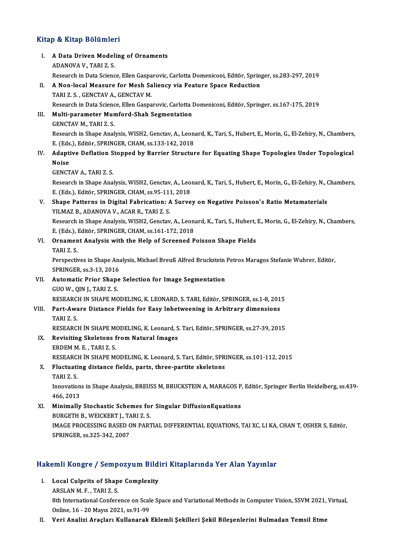# .<br>Kitap & Kitap Bölümleri

| Kitap & Kitap Bölümleri |                                                                                                                                                |
|-------------------------|------------------------------------------------------------------------------------------------------------------------------------------------|
| L.                      | A Data Driven Modeling of Ornaments<br>ADANOVA V, TARI Z S                                                                                     |
|                         | Research in Data Science, Ellen Gasparovic, Carlotta Domeniconi, Editör, Springer, ss.283-297, 2019                                            |
| П.                      | A Non-local Measure for Mesh Saliency via Feature Space Reduction                                                                              |
|                         | TARI Z.S., GENCTAV A., GENCTAV M.<br>Research in Data Science, Ellen Gasparovic, Carlotta Domeniconi, Editör, Springer, ss.167-175, 2019       |
| III.                    | Multi-parameter Mumford-Shah Segmentation                                                                                                      |
|                         | <b>GENCTAV M., TARI Z. S.</b>                                                                                                                  |
|                         | Research in Shape Analysis, WISH2, Genctav, A., Leonard, K., Tari, S., Hubert, E., Morin, G., El-Zehiry, N., Chambers,                         |
|                         | E. (Eds.), Editör, SPRINGER, CHAM, ss.133-142, 2018                                                                                            |
| IV.                     | Adaptive Deflation Stopped by Barrier Structure for Equating Shape Topologies Under Topological                                                |
|                         | <b>Noise</b>                                                                                                                                   |
|                         | <b>GENCTAV A, TARI Z.S.</b>                                                                                                                    |
|                         | Research in Shape Analysis, WISH2, Genctav, A., Leonard, K., Tari, S., Hubert, E., Morin, G., El-Zehiry, N., Chambers,                         |
| V.                      | E (Eds.), Editör, SPRINGER, CHAM, ss 95-111, 2018<br>Shape Patterns in Digital Fabrication: A Survey on Negative Poisson's Ratio Metamaterials |
|                         | YILMAZ B., ADANOVA V., ACAR R., TARI Z. S.                                                                                                     |
|                         | Research in Shape Analysis, WISH2, Genctav, A., Leonard, K., Tari, S., Hubert, E., Morin, G., El-Zehiry, N., Chambers,                         |
|                         | E. (Eds.), Editör, SPRINGER, CHAM, ss.161-172, 2018                                                                                            |
| VI.                     | Ornament Analysis with the Help of Screened Poisson Shape Fields                                                                               |
|                         | TARIZ <sub>S</sub>                                                                                                                             |
|                         | Perspectives in Shape Analysis, Michael Breuß Alfred Bruckstein Petros Maragos Stefanie Wuhrer, Editör,                                        |
|                         | SPRINGER, ss 3-13, 2016                                                                                                                        |
| VII.                    | Automatic Prior Shape Selection for Image Segmentation                                                                                         |
|                         | GUO W., QIN J., TARI Z. S.<br>RESEARCH IN SHAPE MODELING, K. LEONARD, S. TARI, Editör, SPRINGER, ss.1-8, 2015                                  |
| VIII.                   | Part-Aware Distance Fields for Easy Inbetweening in Arbitrary dimensions                                                                       |
|                         | TARI Z.S.                                                                                                                                      |
|                         | RESEARCH İN SHAPE MODELING, K. Leonard, S. Tari, Editör, SPRINGER, ss.27-39, 2015                                                              |
| IX.                     | Revisiting Skeletons from Natural Images                                                                                                       |
|                         | ERDEM M E, TARIZ S                                                                                                                             |
|                         | RESEARCH IN SHAPE MODELING, K. Leonard, S. Tari, Editör, SPRINGER, ss.101-112, 2015                                                            |
| X.                      | Fluctuating distance fields, parts, three-partite skeletons                                                                                    |
|                         | TARIZ <sub>S</sub>                                                                                                                             |
|                         | Innovations in Shape Analysis, BREUSS M, BRUCKSTEIN A, MARAGOS P, Editör, Springer Berlin Heidelberg, ss.439-<br>466, 2013                     |
| XI.                     | Minimally Stochastic Schemes for Singular DiffusionEquations                                                                                   |
|                         | BURGETH B., WEICKERT J., TARI Z. S.                                                                                                            |
|                         | IMAGE PROCESSING BASED ON PARTIAL DIFFERENTIAL EQUATIONS, TAI XC, LI KA, CHAN T, OSHER S, Editör,                                              |
|                         | SPRINGER, ss 325-342, 2007                                                                                                                     |

# SPRINGER, SS.325-342, 2007<br>Hakemli Kongre / Sempozyum Bildiri Kitaplarında Yer Alan Yayınlar

- akemli Kongre / Sempozyum Bildi<br>I. Local Culprits of Shape Complexity I. Local Culprits of Shape Complexity<br>ARSLAN M. F., TARI Z. S. Local Culprits of Shape Complexity<br>ARSLAN M. F. , TARI Z. S.<br>8th International Conference on Scale Space and Variational Methods in Computer Vision, SSVM 2021, Virtual,<br>Opline, 16 , 20 Mayıs 2021, ss.91, 99 ARSLAN M. F. , TARI Z. S.<br>8th International Conference on Scal<br>Online, 16 - 20 Mayıs 2021, ss.91-99<br>Veri Analiri Arasları Kullanarak Online, 16 - 20 Mayıs 2021, ss.91-99<br>II. Veri Analizi Araçları Kullanarak Eklemli Şekilleri Şekil Bileşenlerini Bulmadan Temsil Etme
-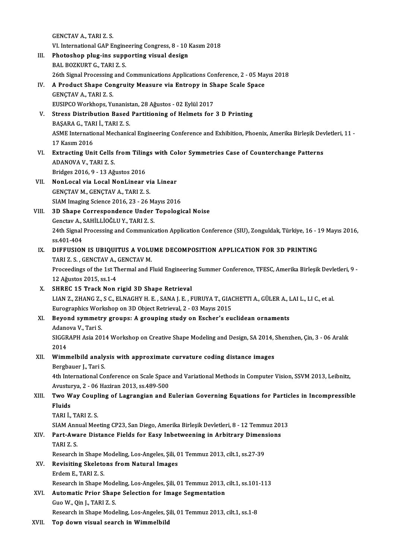GENCTAV A., TARI Z. S. VI. International GAP Engineering Congress, 8 - 10 Kasım 2018 III. Photoshop plug-ins supporting visual design BAL BOZKURT G., TARI Z. S. 26th Signal Processing and Communications Applications Conference, 2 - 05 Mayıs 2018 BAL BOZKURT G., TARI Z. S.<br>26th Signal Processing and Communications Applications Conference, 2 - 05 Ma<br>IV. A Product Shape Congruity Measure via Entropy in Shape Scale Space<br>CENCTAV A TARLZ S GENÇTAV A., TARI Z. S.<br>EUSIPCO Workhops, Yunanistan, 28 Ağustos - 02 Eylül 2017 A Product Shape Congruity Measure via Entropy in Sh<br>GENÇTAV A., TARI Z. S.<br>EUSIPCO Workhops, Yunanistan, 28 Ağustos - 02 Eylül 2017<br>Stress Distribution Based Bertitioning of Helmets for GENÇTAV A., TARI Z. S.<br>EUSIPCO Workhops, Yunanistan, 28 Ağustos - 02 Eylül 2017<br>V. Stress Distribution Based Partitioning of Helmets for 3 D Printing<br>PASARA C. TARLİ TARI 7 S EUSIPCO Workhops, Yunanist<br>Stress Distribution Based<br>BAŞARA G., TARI İ., TARI Z. S.<br>ASME International Machania ASME International Mechanical Engineering Conference and Exhibition, Phoenix, Amerika Birleşik Devletleri, 11 -<br>17 Kasım 2016 BASARA G., TARI İ., TARI Z. S. ASME International Mechanical Engineering Conference and Exhibition, Phoenix, Amerika Birleşik Dev<br>17 Kasım 2016<br>VI. Extracting Unit Cells from Tilings with Color Symmetries Case of Counterchange Patterns<br>ADANOVA V. TABLZ 17 Kasım 2016<br>**Extracting Unit Cells**<br>ADANOVA V., TARI Z. S.<br>Pridges 2016, 0, 12 Ağ Extracting Unit Cells from Tiling<br>ADANOVA V., TARI Z. S.<br>Bridges 2016, 9 - 13 Ağustos 2016<br>Napl osal via Losal Napl inear 1 ADANOVA V., TARI Z. S.<br>Bridges 2016, 9 - 13 Ağustos 2016<br>VII. NonLocal via Local NonLinear via Linear GENÇTAV M., GENÇTAV A., TARI Z. S. SIAM Imaging Science 2016, 23 - 26 Mayıs 2016 GENÇTAV M., GENÇTAV A., TARI Z. S.<br>SIAM Imaging Science 2016, 23 - 26 Mayıs 2016<br>VIII. 3D Shape Correspondence Under Topological Noise<br>Constau A. SAHİLLİQĞLUV. TARLZ S SIAM Imaging Science 2016, 23 - 26 M;<br>3D Shape Correspondence Under<br>Genctav A., SAHİLLİOĞLU Y., TARI Z. S.<br>24th Signal Processing and Communic 24th Signal Processing and Communication Application Conference (SIU), Zonguldak, Türkiye, 16 - 19 Mayıs 2016,<br>ss.401-404 Genctav A., SAHİLLİOĞLU Y., TARI Z. S. 24th Signal Processing and Communication Application Conference (SIU), Zonguldak, Türkiye, 16 - 1<br>ss.401-404<br>IX. DIFFUSION IS UBIQUITUS A VOLUME DECOMPOSITION APPLICATION FOR 3D PRINTING<br>TABLE S. CENCTAV A CENCTAV M ss.401-404<br>DIFFUSION IS UBIQUITUS A VOLU<br>TARI Z. S. , GENCTAV A., GENCTAV M.<br>Preseedings of the 1st Thermal and E Proceedings of the 1st Thermal and Fluid Engineering Summer Conference, TFESC, Amerika Birleşik Devletleri, 9 -<br>12 Ağustos 2015, ss.1-4 TARI Z. S., GENCTAV A., GENCTAV M. X. SHREC 15 Track Non rigid 3D Shape Retrieval LIAN Z., ZHANG Z., S C., ELNAGHY H. E., SANA J. E., FURUYA T., GIACHETTI A., GÜLER A., LAI L., LI C., et al. SHREC 15 Track Non rigid 3D Shape Retrieval<br>LIAN Z., ZHANG Z., S C., ELNAGHY H. E. , SANA J. E. , FURUYA T., GIAO<br>Eurographics Workshop on 3D Object Retrieval, 2 - 03 Mayıs 2015<br>Bayond summatny groups: A grouping study on XI. Beyond symmetry groups: A grouping study on Escher's euclidean ornaments Eurographics Worl<br>Beyond symmetr<br>Adanova V., Tari S.<br>SICCRAPH Asia 20. Beyond symmetry groups: A grouping study on Escher's euclidean ornaments<br>Adanova V., Tari S.<br>SIGGRAPH Asia 2014 Workshop on Creative Shape Modeling and Design, SA 2014, Shenzhen, Çin, 3 - 06 Aralık<br>2014 Adanc<br>SIGGR<br>2014<br>Wimn SIGGRAPH Asia 2014 Workshop on Creative Shape Modeling and Design, SA 2014, STR 2014<br>2014<br>XII. Wimmelbild analysis with approximate curvature coding distance images<br>Borghauer L. Tori S 2014<br>XII. Wimmelbild analysis with approximate curvature coding distance images<br>Bergbauer J., Tari S. Wimmelbild analysis with approximate curvature coding distance images<br>Bergbauer J., Tari S.<br>4th International Conference on Scale Space and Variational Methods in Computer Vision, SSVM 2013, Leibnitz,<br>Arustuwys 3, 26 Herin Bergbauer J., Tari S.<br>4th International Conference on Scale Space<br>Avusturya, 2 - 06 Haziran 2013, ss.489-500<br>Two Way Coupling of Lagrangian and E 4th International Conference on Scale Space and Variational Methods in Computer Vision, SSVM 2013, Leibnitz,<br>Avusturya, 2 - 06 Haziran 2013, ss.489-500<br>XIII. Two Way Coupling of Lagrangian and Eulerian Governing Equations Avustu<mark>l</mark><br>Two W<br>Fluids<br>T<u>APL</u>i Two Way Coupl<br>Fluids<br>TARI İ., TARI Z. S.<br>SIAM Annual Mee Fluids<br>TARI İ., TARI Z. S.<br>SIAM Annual Meeting CP23, San Diego, Amerika Birleşik Devletleri, 8 - 12 Temmuz 2013<br>Part, Aware Distance Fields for Fasy Inhetweening in Arhitrary Dimensions TARI İ., TARI Z. S.<br>SIAM Annual Meeting CP23, San Diego, Amerika Birleşik Devletleri, 8 - 12 Temmuz 20:<br>XIV. Part-Aware Distance Fields for Easy Inbetweening in Arbitrary Dimensions<br>TARI Z. S. SIAM Ann<br>**Part-Awa<br>TARI Z. S.**<br>Beseereb Part-Aware Distance Fields for Easy Inbetweening in Arbitrary Dimen:<br>TARI Z. S.<br>Research in Shape Modeling, Los-Angeles, Şili, 01 Temmuz 2013, cilt.1, ss.27-39<br>Povisiting Skeletons from Natural Images TARI Z. S.<br>Research in Shape Modeling, Los-Angeles, Șili, O<br>XV. Revisiting Skeletons from Natural Images Research in Shape N<br>Revisiting Skeleto<br>Erdem E., TARI Z. S.<br>Besearsh in Shape N Erdem E., TARI Z. S.<br>Research in Shape Modeling, Los-Angeles, Şili, 01 Temmuz 2013, cilt.1, ss.101-113 Erdem E., TARI Z. S.<br>Research in Shape Modeling, Los-Angeles, Şili, 01 Temmuz 2013,<br>XVI. Automatic Prior Shape Selection for Image Segmentation<br>Cue W. Oin L. TARLZ S. Research in Shape Mode<br>Automatic Prior Shap<br>Guo W., Qin J., TARI Z. S.<br>Besearch in Shape Mode Guo W., Qin J., TARI Z. S.<br>Research in Shape Modeling, Los-Angeles, Şili, 01 Temmuz 2013, cilt.1, ss.1-8

XVII. Top down visual search in Wimmelbild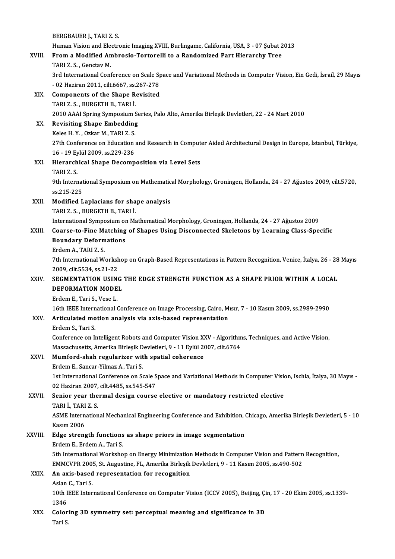|         | BERGBAUER J., TARI Z. S.                                                                                                    |
|---------|-----------------------------------------------------------------------------------------------------------------------------|
|         | Human Vision and Electronic Imaging XVIII, Burlingame, California, USA, 3 - 07 Şubat 2013                                   |
| XVIII.  | From a Modified Ambrosio-Tortorelli to a Randomized Part Hierarchy Tree                                                     |
|         | TARI Z. S., Genctav M.                                                                                                      |
|         | 3rd International Conference on Scale Space and Variational Methods in Computer Vision, Ein Gedi, İsrail, 29 Mayıs          |
|         | - 02 Haziran 2011, cilt.6667, ss.267-278                                                                                    |
| XIX.    | <b>Components of the Shape Revisited</b>                                                                                    |
|         | TARI Z S , BURGETH B , TARI İ.                                                                                              |
|         | 2010 AAAI Spring Symposium Series, Palo Alto, Amerika Birleşik Devletleri, 22 - 24 Mart 2010                                |
| XX.     | <b>Revisiting Shape Embedding</b>                                                                                           |
|         | Keles H Y, Ozkar M, TARI Z S.                                                                                               |
|         | 27th Conference on Education and Research in Computer Aided Architectural Design in Europe, İstanbul, Türkiye,              |
|         | 16 - 19 Eylül 2009, ss 229-236                                                                                              |
| XXI.    | Hierarchical Shape Decomposition via Level Sets                                                                             |
|         | TARI Z.S.                                                                                                                   |
|         | 9th International Symposium on Mathematical Morphology, Groningen, Hollanda, 24 - 27 Ağustos 2009, cilt.5720,<br>ss 215-225 |
|         |                                                                                                                             |
| XXII.   | Modified Laplacians for shape analysis<br>TARI Z. S., BURGETH B., TARI İ.                                                   |
|         | International Symposium on Mathematical Morphology, Groningen, Hollanda, 24 - 27 Ağustos 2009                               |
| XXIII.  | Coarse-to-Fine Matching of Shapes Using Disconnected Skeletons by Learning Class-Specific                                   |
|         | <b>Boundary Deformations</b>                                                                                                |
|         | Erdem A., TARI Z. S.                                                                                                        |
|         | 7th International Workshop on Graph-Based Representations in Pattern Recognition, Venice, İtalya, 26 - 28 Mayıs             |
|         | 2009, cilt 5534, ss 21-22                                                                                                   |
| XXIV.   | SEGMENTATION USING THE EDGE STRENGTH FUNCTION AS A SHAPE PRIOR WITHIN A LOCAL                                               |
|         | DEFORMATION MODEL                                                                                                           |
|         | Erdem E., Tari S., Vese L.                                                                                                  |
|         | 16th IEEE International Conference on Image Processing, Cairo, Mısır, 7 - 10 Kasım 2009, ss.2989-2990                       |
| XXV.    | Articulated motion analysis via axis-based representation                                                                   |
|         | Erdem S., Tari S.                                                                                                           |
|         | Conference on Intelligent Robots and Computer Vision XXV - Algorithms, Techniques, and Active Vision,                       |
|         | Massachusetts, Amerika Birleşik Devletleri, 9 - 11 Eylül 2007, cilt 6764                                                    |
| XXVI.   | Mumford-shah regularizer with spatial coherence                                                                             |
|         | Erdem E., Sancar-Yilmaz A., Tari S.                                                                                         |
|         | 1st International Conference on Scale Space and Variational Methods in Computer Vision, Ischia, İtalya, 30 Mayıs -          |
|         | 02 Haziran 2007, cilt.4485, ss.545-547                                                                                      |
| XXVII.  | Senior year thermal design course elective or mandatory restricted elective                                                 |
|         | TARI I., TARI Z. S.                                                                                                         |
|         | ASME International Mechanical Engineering Conference and Exhibition, Chicago, Amerika Birleşik Devletleri, 5 - 10           |
|         | Kasım 2006                                                                                                                  |
| XXVIII. | Edge strength functions as shape priors in image segmentation                                                               |
|         | Erdem E., Erdem A., Tari S.                                                                                                 |
|         | 5th International Workshop on Energy Minimization Methods in Computer Vision and Pattern Recognition,                       |
|         | EMMCVPR 2005, St. Augustine, FL, Amerika Birleşik Devletleri, 9 - 11 Kasım 2005, ss.490-502                                 |
| XXIX.   | An axis-based representation for recognition                                                                                |
|         | Aslan C., Tari S.                                                                                                           |
|         | 10th IEEE International Conference on Computer Vision (ICCV 2005), Beijing, Çin, 17 - 20 Ekim 2005, ss.1339-                |
|         | 1346                                                                                                                        |
| XXX.    | Coloring 3D symmetry set: perceptual meaning and significance in 3D                                                         |
|         | Tari S                                                                                                                      |
|         |                                                                                                                             |